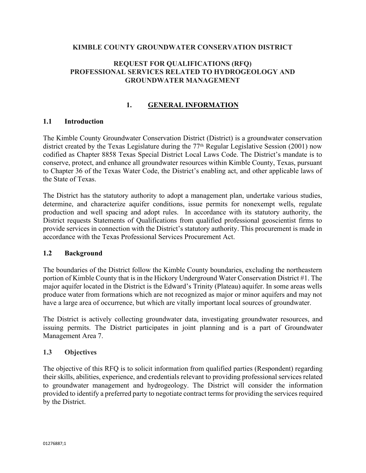### **KIMBLE COUNTY GROUNDWATER CONSERVATION DISTRICT**

### **REQUEST FOR QUALIFICATIONS (RFQ) PROFESSIONAL SERVICES RELATED TO HYDROGEOLOGY AND GROUNDWATER MANAGEMENT**

## **1. GENERAL INFORMATION**

### **1.1 Introduction**

The Kimble County Groundwater Conservation District (District) is a groundwater conservation district created by the Texas Legislature during the  $77<sup>th</sup>$  Regular Legislative Session (2001) now codified as Chapter 8858 Texas Special District Local Laws Code. The District's mandate is to conserve, protect, and enhance all groundwater resources within Kimble County, Texas, pursuant to Chapter 36 of the Texas Water Code, the District's enabling act, and other applicable laws of the State of Texas.

The District has the statutory authority to adopt a management plan, undertake various studies, determine, and characterize aquifer conditions, issue permits for nonexempt wells, regulate production and well spacing and adopt rules. In accordance with its statutory authority, the District requests Statements of Qualifications from qualified professional geoscientist firms to provide services in connection with the District's statutory authority. This procurement is made in accordance with the Texas Professional Services Procurement Act.

### **1.2 Background**

The boundaries of the District follow the Kimble County boundaries, excluding the northeastern portion of Kimble County that is in the Hickory Underground Water Conservation District #1. The major aquifer located in the District is the Edward's Trinity (Plateau) aquifer. In some areas wells produce water from formations which are not recognized as major or minor aquifers and may not have a large area of occurrence, but which are vitally important local sources of groundwater.

The District is actively collecting groundwater data, investigating groundwater resources, and issuing permits. The District participates in joint planning and is a part of Groundwater Management Area 7.

### **1.3 Objectives**

The objective of this RFQ is to solicit information from qualified parties (Respondent) regarding their skills, abilities, experience, and credentials relevant to providing professional services related to groundwater management and hydrogeology. The District will consider the information provided to identify a preferred party to negotiate contract terms for providing the services required by the District.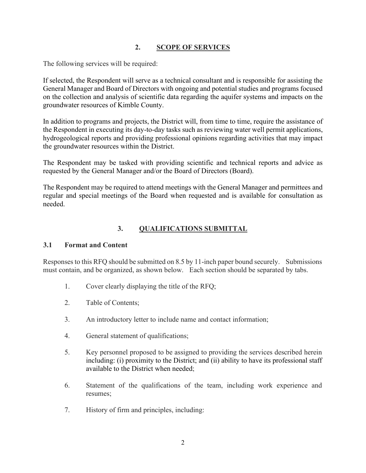## **2. SCOPE OF SERVICES**

The following services will be required:

If selected, the Respondent will serve as a technical consultant and is responsible for assisting the General Manager and Board of Directors with ongoing and potential studies and programs focused on the collection and analysis of scientific data regarding the aquifer systems and impacts on the groundwater resources of Kimble County.

In addition to programs and projects, the District will, from time to time, require the assistance of the Respondent in executing its day-to-day tasks such as reviewing water well permit applications, hydrogeological reports and providing professional opinions regarding activities that may impact the groundwater resources within the District.

The Respondent may be tasked with providing scientific and technical reports and advice as requested by the General Manager and/or the Board of Directors (Board).

The Respondent may be required to attend meetings with the General Manager and permittees and regular and special meetings of the Board when requested and is available for consultation as needed.

# **3. QUALIFICATIONS SUBMITTAL**

## **3.1 Format and Content**

Responses to this RFQ should be submitted on 8.5 by 11-inch paper bound securely. Submissions must contain, and be organized, as shown below. Each section should be separated by tabs.

- 1. Cover clearly displaying the title of the RFQ;
- 2. Table of Contents;
- 3. An introductory letter to include name and contact information;
- 4. General statement of qualifications;
- 5. Key personnel proposed to be assigned to providing the services described herein including: (i) proximity to the District; and (ii) ability to have its professional staff available to the District when needed;
- 6. Statement of the qualifications of the team, including work experience and resumes;
- 7. History of firm and principles, including: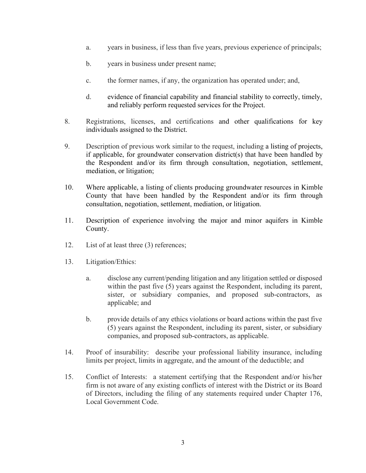- a. years in business, if less than five years, previous experience of principals;
- b. years in business under present name;
- c. the former names, if any, the organization has operated under; and,
- d. evidence of financial capability and financial stability to correctly, timely, and reliably perform requested services for the Project.
- 8. Registrations, licenses, and certifications and other qualifications for key individuals assigned to the District.
- 9. Description of previous work similar to the request, including a listing of projects, if applicable, for groundwater conservation district(s) that have been handled by the Respondent and/or its firm through consultation, negotiation, settlement, mediation, or litigation;
- 10. Where applicable, a listing of clients producing groundwater resources in Kimble County that have been handled by the Respondent and/or its firm through consultation, negotiation, settlement, mediation, or litigation.
- 11. Description of experience involving the major and minor aquifers in Kimble County.
- 12. List of at least three (3) references;
- 13. Litigation/Ethics:
	- a. disclose any current/pending litigation and any litigation settled or disposed within the past five (5) years against the Respondent, including its parent, sister, or subsidiary companies, and proposed sub-contractors, as applicable; and
	- b. provide details of any ethics violations or board actions within the past five (5) years against the Respondent, including its parent, sister, or subsidiary companies, and proposed sub-contractors, as applicable.
- 14. Proof of insurability: describe your professional liability insurance, including limits per project, limits in aggregate, and the amount of the deductible; and
- 15. Conflict of Interests: a statement certifying that the Respondent and/or his/her firm is not aware of any existing conflicts of interest with the District or its Board of Directors, including the filing of any statements required under Chapter 176, Local Government Code.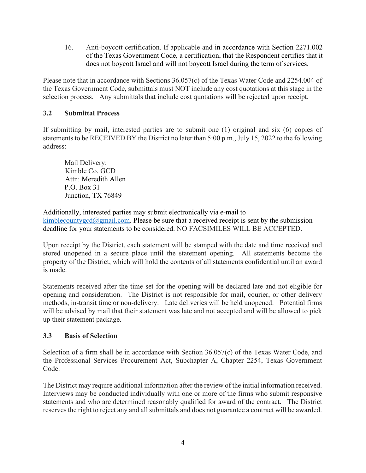16. Anti-boycott certification. If applicable and in accordance with Section 2271.002 of the Texas Government Code, a certification, that the Respondent certifies that it does not boycott Israel and will not boycott Israel during the term of services.

Please note that in accordance with Sections 36.057(c) of the Texas Water Code and 2254.004 of the Texas Government Code, submittals must NOT include any cost quotations at this stage in the selection process. Any submittals that include cost quotations will be rejected upon receipt.

## **3.2 Submittal Process**

If submitting by mail, interested parties are to submit one (1) original and six (6) copies of statements to be RECEIVED BY the District no later than 5:00 p.m., July 15, 2022 to the following address:

Mail Delivery: Kimble Co. GCD Attn: Meredith Allen P.O. Box 31 Junction, TX 76849

Additionally, interested parties may submit electronically via e-mail to [kimblecountygcd@gmail.com.](mailto:kimblecountygcd@gmail.com) Please be sure that a received receipt is sent by the submission deadline for your statements to be considered. NO FACSIMILES WILL BE ACCEPTED.

Upon receipt by the District, each statement will be stamped with the date and time received and stored unopened in a secure place until the statement opening. All statements become the property of the District, which will hold the contents of all statements confidential until an award is made.

Statements received after the time set for the opening will be declared late and not eligible for opening and consideration. The District is not responsible for mail, courier, or other delivery methods, in-transit time or non-delivery. Late deliveries will be held unopened. Potential firms will be advised by mail that their statement was late and not accepted and will be allowed to pick up their statement package.

## **3.3 Basis of Selection**

Selection of a firm shall be in accordance with Section 36.057(c) of the Texas Water Code, and the Professional Services Procurement Act, Subchapter A, Chapter 2254, Texas Government Code.

The District may require additional information after the review of the initial information received. Interviews may be conducted individually with one or more of the firms who submit responsive statements and who are determined reasonably qualified for award of the contract. The District reserves the right to reject any and all submittals and does not guarantee a contract will be awarded.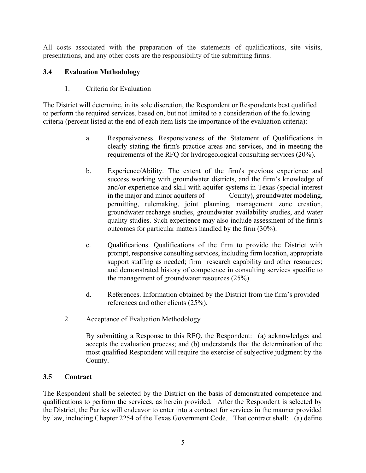All costs associated with the preparation of the statements of qualifications, site visits, presentations, and any other costs are the responsibility of the submitting firms.

## **3.4 Evaluation Methodology**

1. Criteria for Evaluation

The District will determine, in its sole discretion, the Respondent or Respondents best qualified to perform the required services, based on, but not limited to a consideration of the following criteria (percent listed at the end of each item lists the importance of the evaluation criteria):

- a. Responsiveness. Responsiveness of the Statement of Qualifications in clearly stating the firm's practice areas and services, and in meeting the requirements of the RFQ for hydrogeological consulting services (20%).
- b. Experience/Ability. The extent of the firm's previous experience and success working with groundwater districts, and the firm's knowledge of and/or experience and skill with aquifer systems in Texas (special interest in the major and minor aquifers of County), groundwater modeling, permitting, rulemaking, joint planning, management zone creation, groundwater recharge studies, groundwater availability studies, and water quality studies. Such experience may also include assessment of the firm's outcomes for particular matters handled by the firm (30%).
- c. Qualifications. Qualifications of the firm to provide the District with prompt, responsive consulting services, including firm location, appropriate support staffing as needed; firm research capability and other resources; and demonstrated history of competence in consulting services specific to the management of groundwater resources (25%).
- d. References. Information obtained by the District from the firm's provided references and other clients (25%).
- 2. Acceptance of Evaluation Methodology

By submitting a Response to this RFQ, the Respondent: (a) acknowledges and accepts the evaluation process; and (b) understands that the determination of the most qualified Respondent will require the exercise of subjective judgment by the County.

## **3.5 Contract**

The Respondent shall be selected by the District on the basis of demonstrated competence and qualifications to perform the services, as herein provided. After the Respondent is selected by the District, the Parties will endeavor to enter into a contract for services in the manner provided by law, including Chapter 2254 of the Texas Government Code. That contract shall: (a) define